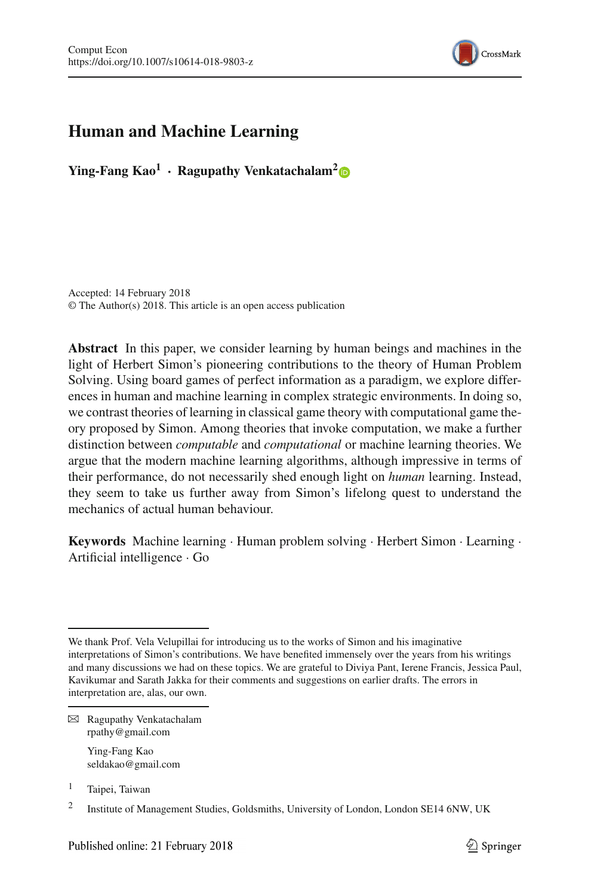

# **Human and Machine Learning**

**Ying-Fang Kao<sup>1</sup> · Ragupathy Venkatachalam[2](http://orcid.org/0000-0002-1190-6321)**

Accepted: 14 February 2018 © The Author(s) 2018. This article is an open access publication

**Abstract** In this paper, we consider learning by human beings and machines in the light of Herbert Simon's pioneering contributions to the theory of Human Problem Solving. Using board games of perfect information as a paradigm, we explore differences in human and machine learning in complex strategic environments. In doing so, we contrast theories of learning in classical game theory with computational game theory proposed by Simon. Among theories that invoke computation, we make a further distinction between *computable* and *computational* or machine learning theories. We argue that the modern machine learning algorithms, although impressive in terms of their performance, do not necessarily shed enough light on *human* learning. Instead, they seem to take us further away from Simon's lifelong quest to understand the mechanics of actual human behaviour.

**Keywords** Machine learning · Human problem solving · Herbert Simon · Learning · Artificial intelligence · Go

We thank Prof. Vela Velupillai for introducing us to the works of Simon and his imaginative interpretations of Simon's contributions. We have benefited immensely over the years from his writings and many discussions we had on these topics. We are grateful to Diviya Pant, Ierene Francis, Jessica Paul, Kavikumar and Sarath Jakka for their comments and suggestions on earlier drafts. The errors in interpretation are, alas, our own.

 $\boxtimes$  Ragupathy Venkatachalam rpathy@gmail.com

Ying-Fang Kao seldakao@gmail.com

<sup>1</sup> Taipei, Taiwan

<sup>2</sup> Institute of Management Studies, Goldsmiths, University of London, London SE14 6NW, UK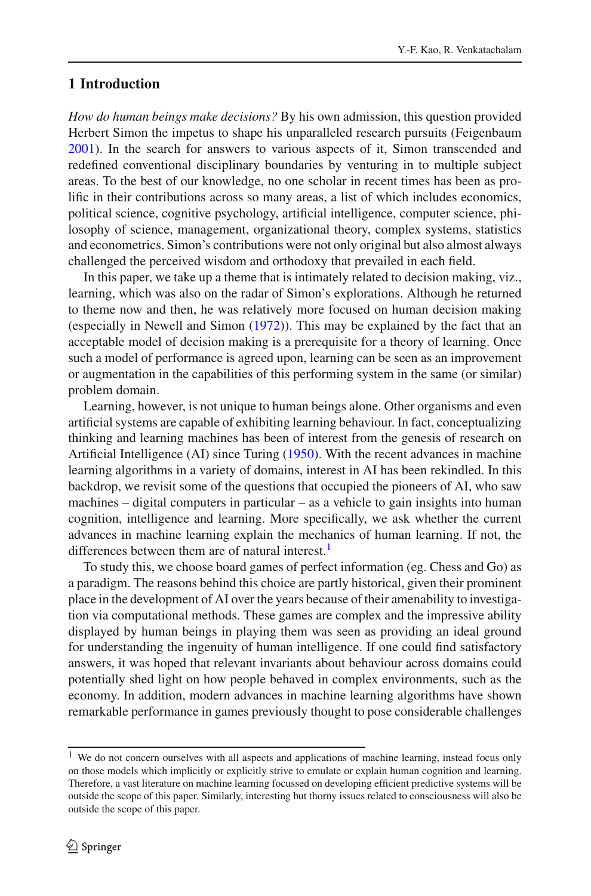# **1 Introduction**

*How do human beings make decisions?* By his own admission, this question provided Herbert Simon the impetus to shape his unparalleled research pursuits (Feigenbau[m](#page-18-0) [2001\)](#page-18-0). In the search for answers to various aspects of it, Simon transcended and redefined conventional disciplinary boundaries by venturing in to multiple subject areas. To the best of our knowledge, no one scholar in recent times has been as prolific in their contributions across so many areas, a list of which includes economics, political science, cognitive psychology, artificial intelligence, computer science, philosophy of science, management, organizational theory, complex systems, statistics and econometrics. Simon's contributions were not only original but also almost always challenged the perceived wisdom and orthodoxy that prevailed in each field.

In this paper, we take up a theme that is intimately related to decision making, viz., learning, which was also on the radar of Simon's explorations. Although he returned to theme now and then, he was relatively more focused on human decision making (especially in Newell and Simo[n](#page-19-0) [\(1972](#page-19-0))). This may be explained by the fact that an acceptable model of decision making is a prerequisite for a theory of learning. Once such a model of performance is agreed upon, learning can be seen as an improvement or augmentation in the capabilities of this performing system in the same (or similar) problem domain.

Learning, however, is not unique to human beings alone. Other organisms and even artificial systems are capable of exhibiting learning behaviour. In fact, conceptualizing thinking and learning machines has been of interest from the genesis of research on Artificial Intelligence (AI) since Turin[g](#page-20-0) [\(1950\)](#page-20-0). With the recent advances in machine learning algorithms in a variety of domains, interest in AI has been rekindled. In this backdrop, we revisit some of the questions that occupied the pioneers of AI, who saw machines – digital computers in particular – as a vehicle to gain insights into human cognition, intelligence and learning. More specifically, we ask whether the current advances in machine learning explain the mechanics of human learning. If not, the differences between them are of natural interest. $<sup>1</sup>$  $<sup>1</sup>$  $<sup>1</sup>$ </sup>

To study this, we choose board games of perfect information (eg. Chess and Go) as a paradigm. The reasons behind this choice are partly historical, given their prominent place in the development of AI over the years because of their amenability to investigation via computational methods. These games are complex and the impressive ability displayed by human beings in playing them was seen as providing an ideal ground for understanding the ingenuity of human intelligence. If one could find satisfactory answers, it was hoped that relevant invariants about behaviour across domains could potentially shed light on how people behaved in complex environments, such as the economy. In addition, modern advances in machine learning algorithms have shown remarkable performance in games previously thought to pose considerable challenges

<span id="page-1-0"></span><sup>&</sup>lt;sup>1</sup> We do not concern ourselves with all aspects and applications of machine learning, instead focus only on those models which implicitly or explicitly strive to emulate or explain human cognition and learning. Therefore, a vast literature on machine learning focussed on developing efficient predictive systems will be outside the scope of this paper. Similarly, interesting but thorny issues related to consciousness will also be outside the scope of this paper.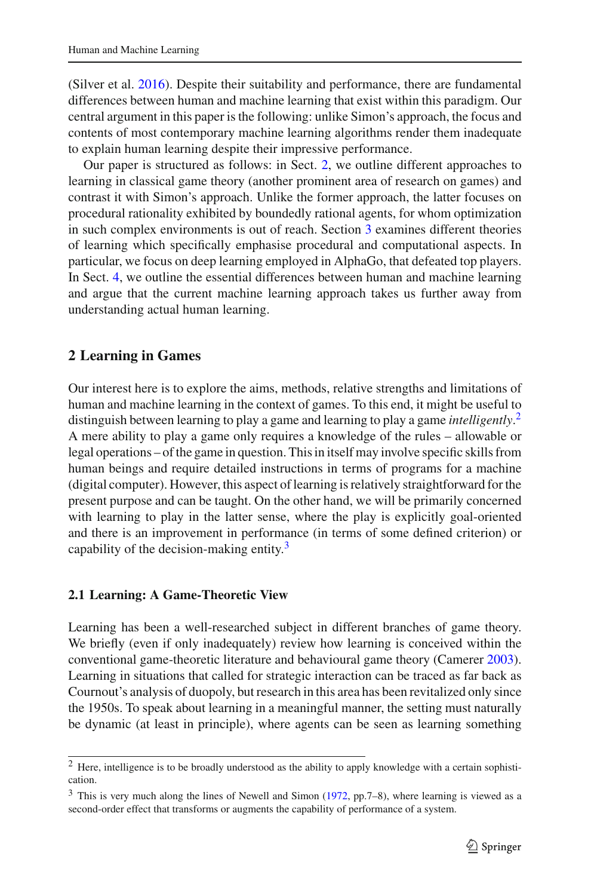(Silver et al[.](#page-19-1) [2016\)](#page-19-1). Despite their suitability and performance, there are fundamental differences between human and machine learning that exist within this paradigm. Our central argument in this paper is the following: unlike Simon's approach, the focus and contents of most contemporary machine learning algorithms render them inadequate to explain human learning despite their impressive performance.

Our paper is structured as follows: in Sect. [2,](#page-2-0) we outline different approaches to learning in classical game theory (another prominent area of research on games) and contrast it with Simon's approach. Unlike the former approach, the latter focuses on procedural rationality exhibited by boundedly rational agents, for whom optimization in such complex environments is out of reach. Section [3](#page-8-0) examines different theories of learning which specifically emphasise procedural and computational aspects. In particular, we focus on deep learning employed in AlphaGo, that defeated top players. In Sect. [4,](#page-13-0) we outline the essential differences between human and machine learning and argue that the current machine learning approach takes us further away from understanding actual human learning.

## <span id="page-2-0"></span>**2 Learning in Games**

Our interest here is to explore the aims, methods, relative strengths and limitations of human and machine learning in the context of games. To this end, it might be useful to distinguish between learning to play a game and learning to play a game *intelligently*. [2](#page-2-1) A mere ability to play a game only requires a knowledge of the rules – allowable or legal operations – of the game in question. This in itself may involve specific skills from human beings and require detailed instructions in terms of programs for a machine (digital computer). However, this aspect of learning is relatively straightforward for the present purpose and can be taught. On the other hand, we will be primarily concerned with learning to play in the latter sense, where the play is explicitly goal-oriented and there is an improvement in performance (in terms of some defined criterion) or capability of the decision-making entity. $3$ 

### **2.1 Learning: A Game-Theoretic View**

Learning has been a well-researched subject in different branches of game theory. We briefly (even if only inadequately) review how learning is conceived within the conventional game-theoretic literature and behavioural game theory (Camere[r](#page-18-1) [2003](#page-18-1)). Learning in situations that called for strategic interaction can be traced as far back as Cournout's analysis of duopoly, but research in this area has been revitalized only since the 1950s. To speak about learning in a meaningful manner, the setting must naturally be dynamic (at least in principle), where agents can be seen as learning something

<span id="page-2-1"></span><sup>2</sup> Here, intelligence is to be broadly understood as the ability to apply knowledge with a certain sophistication.

<span id="page-2-2"></span> $3$  This is very much along the lines of Newell and Simon [\(1972,](#page-19-0) pp.7–8), where learning is viewed as a second-order effect that transforms or augments the capability of performance of a system.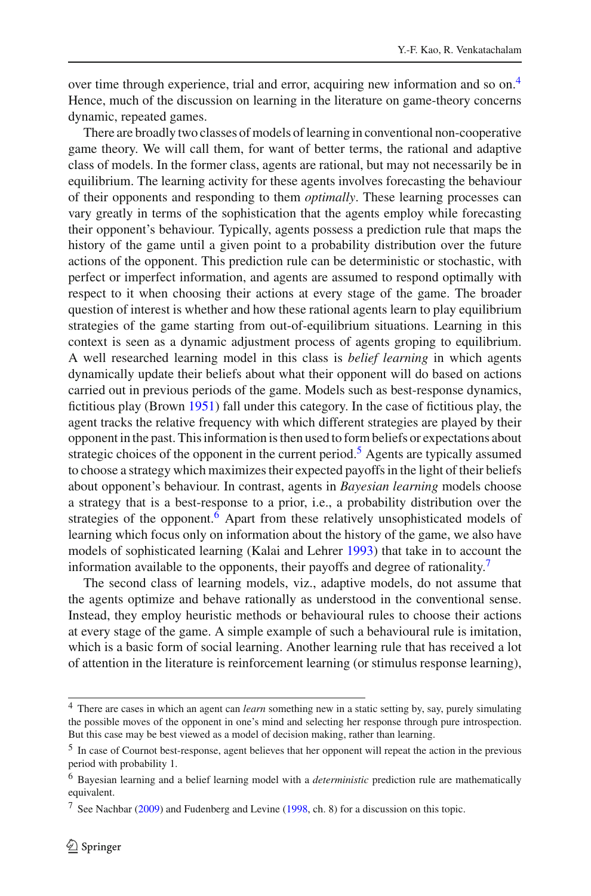over time through experience, trial and error, acquiring new information and so on.<sup>[4](#page-3-0)</sup> Hence, much of the discussion on learning in the literature on game-theory concerns dynamic, repeated games.

There are broadly two classes of models of learning in conventional non-cooperative game theory. We will call them, for want of better terms, the rational and adaptive class of models. In the former class, agents are rational, but may not necessarily be in equilibrium. The learning activity for these agents involves forecasting the behaviour of their opponents and responding to them *optimally*. These learning processes can vary greatly in terms of the sophistication that the agents employ while forecasting their opponent's behaviour. Typically, agents possess a prediction rule that maps the history of the game until a given point to a probability distribution over the future actions of the opponent. This prediction rule can be deterministic or stochastic, with perfect or imperfect information, and agents are assumed to respond optimally with respect to it when choosing their actions at every stage of the game. The broader question of interest is whether and how these rational agents learn to play equilibrium strategies of the game starting from out-of-equilibrium situations. Learning in this context is seen as a dynamic adjustment process of agents groping to equilibrium. A well researched learning model in this class is *belief learning* in which agents dynamically update their beliefs about what their opponent will do based on actions carried out in previous periods of the game. Models such as best-response dynamics, fictitious play (Brow[n](#page-18-2) [1951](#page-18-2)) fall under this category. In the case of fictitious play, the agent tracks the relative frequency with which different strategies are played by their opponent in the past. This information is then used to form beliefs or expectations about strategic choices of the opponent in the current period.<sup>[5](#page-3-1)</sup> Agents are typically assumed to choose a strategy which maximizes their expected payoffs in the light of their beliefs about opponent's behaviour. In contrast, agents in *Bayesian learning* models choose a strategy that is a best-response to a prior, i.e., a probability distribution over the strategies of the opponent.<sup>[6](#page-3-2)</sup> Apart from these relatively unsophisticated models of learning which focus only on information about the history of the game, we also have models of sophisticated learning (Kalai and Lehre[r](#page-19-2) [1993\)](#page-19-2) that take in to account the information available to the opponents, their payoffs and degree of rationality.<sup>[7](#page-3-3)</sup>

The second class of learning models, viz., adaptive models, do not assume that the agents optimize and behave rationally as understood in the conventional sense. Instead, they employ heuristic methods or behavioural rules to choose their actions at every stage of the game. A simple example of such a behavioural rule is imitation, which is a basic form of social learning. Another learning rule that has received a lot of attention in the literature is reinforcement learning (or stimulus response learning),

<span id="page-3-0"></span><sup>4</sup> There are cases in which an agent can *learn* something new in a static setting by, say, purely simulating the possible moves of the opponent in one's mind and selecting her response through pure introspection. But this case may be best viewed as a model of decision making, rather than learning.

<span id="page-3-1"></span><sup>&</sup>lt;sup>5</sup> In case of Cournot best-response, agent believes that her opponent will repeat the action in the previous period with probability 1.

<span id="page-3-2"></span><sup>6</sup> Bayesian learning and a belief learning model with a *deterministic* prediction rule are mathematically equivalent.

<span id="page-3-3"></span><sup>7</sup> See Nachba[r](#page-19-3) [\(2009\)](#page-19-3) and Fudenberg and Levine [\(1998,](#page-19-4) ch. 8) for a discussion on this topic.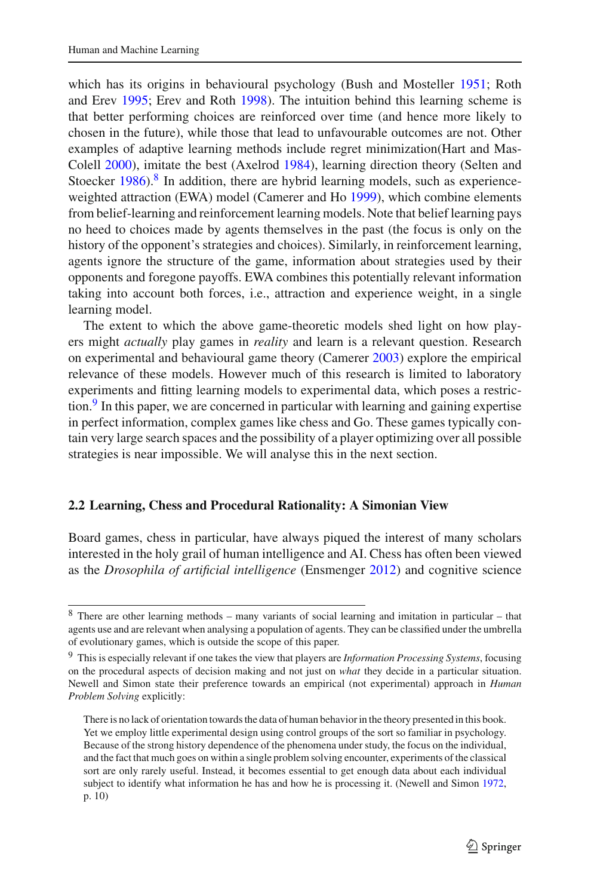which has its o[r](#page-18-3)igins in behavioural psychology (Bush and Mosteller [1951;](#page-18-3) Roth and Ere[v](#page-19-5) [1995](#page-19-5); Erev and Rot[h](#page-18-4) [1998\)](#page-18-4). The intuition behind this learning scheme is that better performing choices are reinforced over time (and hence more likely to chosen in the future), while those that lead to unfavourable outcomes are not. Other examples of adaptive learning methods include regret minimization(Hart and Mas-Colel[l](#page-19-6) [2000](#page-19-6)), imitate the best (Axelro[d](#page-18-5) [1984\)](#page-18-5), learning direction theory (Selten and Stoecke[r](#page-19-7)  $1986$  $1986$  $1986$ .<sup>8</sup> In addition, there are hybrid learning models, such as experienceweighted attraction (EWA) model (Camerer and H[o](#page-18-6) [1999](#page-18-6)), which combine elements from belief-learning and reinforcement learning models. Note that belief learning pays no heed to choices made by agents themselves in the past (the focus is only on the history of the opponent's strategies and choices). Similarly, in reinforcement learning, agents ignore the structure of the game, information about strategies used by their opponents and foregone payoffs. EWA combines this potentially relevant information taking into account both forces, i.e., attraction and experience weight, in a single learning model.

The extent to which the above game-theoretic models shed light on how players might *actually* play games in *reality* and learn is a relevant question. Research on experimental and behavioural game theory (Camere[r](#page-18-1) [2003](#page-18-1)) explore the empirical relevance of these models. However much of this research is limited to laboratory experiments and fitting learning models to experimental data, which poses a restriction. $9$  In this paper, we are concerned in particular with learning and gaining expertise in perfect information, complex games like chess and Go. These games typically contain very large search spaces and the possibility of a player optimizing over all possible strategies is near impossible. We will analyse this in the next section.

#### **2.2 Learning, Chess and Procedural Rationality: A Simonian View**

Board games, chess in particular, have always piqued the interest of many scholars interested in the holy grail of human intelligence and AI. Chess has often been viewed as the *Drosophila of artificial intelligence* (Ensmenge[r](#page-18-7) [2012\)](#page-18-7) and cognitive science

<span id="page-4-0"></span><sup>8</sup> There are other learning methods – many variants of social learning and imitation in particular – that agents use and are relevant when analysing a population of agents. They can be classified under the umbrella of evolutionary games, which is outside the scope of this paper.

<span id="page-4-1"></span><sup>9</sup> This is especially relevant if one takes the view that players are *Information Processing Systems*, focusing on the procedural aspects of decision making and not just on *what* they decide in a particular situation. Newell and Simon state their preference towards an empirical (not experimental) approach in *Human Problem Solving* explicitly:

There is no lack of orientation towards the data of human behavior in the theory presented in this book. Yet we employ little experimental design using control groups of the sort so familiar in psychology. Because of the strong history dependence of the phenomena under study, the focus on the individual, and the fact that much goes on within a single problem solving encounter, experiments of the classical sort are only rarely useful. Instead, it becomes essential to get enough data about each individual subject to identify what information he has and how he is processing it. (Newell and Simo[n](#page-19-0) [1972,](#page-19-0) p. 10)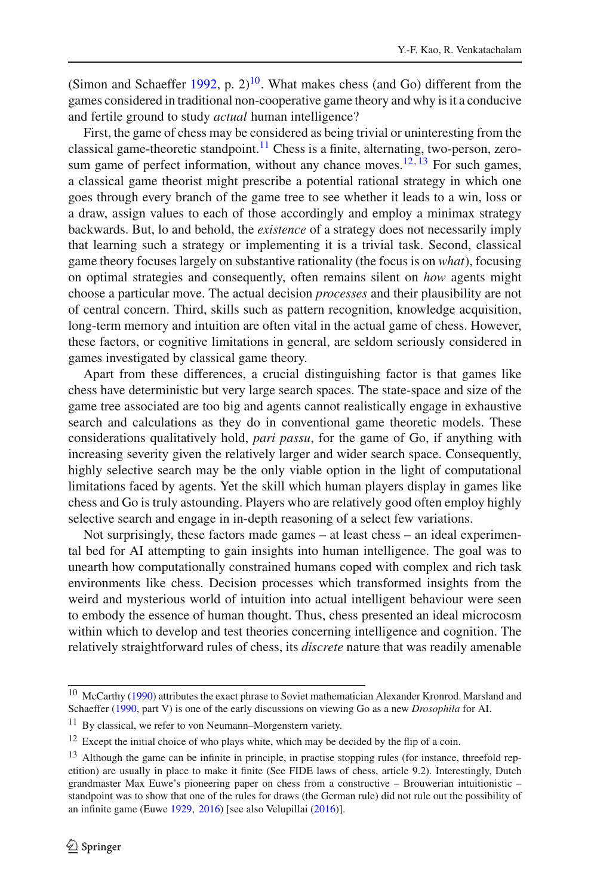(Simon and Schaeffe[r](#page-20-1) [1992](#page-20-1), p.  $2$ )<sup>10</sup>. What makes chess (and Go) different from the games considered in traditional non-cooperative game theory and why is it a conducive and fertile ground to study *actual* human intelligence?

First, the game of chess may be considered as being trivial or uninteresting from the classical game-theoretic standpoint.<sup>[11](#page-5-1)</sup> Chess is a finite, alternating, two-person, zero-sum game of perfect information, without any chance moves.<sup>[12](#page-5-2),[13](#page-5-3)</sup> For such games. a classical game theorist might prescribe a potential rational strategy in which one goes through every branch of the game tree to see whether it leads to a win, loss or a draw, assign values to each of those accordingly and employ a minimax strategy backwards. But, lo and behold, the *existence* of a strategy does not necessarily imply that learning such a strategy or implementing it is a trivial task. Second, classical game theory focuses largely on substantive rationality (the focus is on *what*), focusing on optimal strategies and consequently, often remains silent on *how* agents might choose a particular move. The actual decision *processes* and their plausibility are not of central concern. Third, skills such as pattern recognition, knowledge acquisition, long-term memory and intuition are often vital in the actual game of chess. However, these factors, or cognitive limitations in general, are seldom seriously considered in games investigated by classical game theory.

Apart from these differences, a crucial distinguishing factor is that games like chess have deterministic but very large search spaces. The state-space and size of the game tree associated are too big and agents cannot realistically engage in exhaustive search and calculations as they do in conventional game theoretic models. These considerations qualitatively hold, *pari passu*, for the game of Go, if anything with increasing severity given the relatively larger and wider search space. Consequently, highly selective search may be the only viable option in the light of computational limitations faced by agents. Yet the skill which human players display in games like chess and Go is truly astounding. Players who are relatively good often employ highly selective search and engage in in-depth reasoning of a select few variations.

Not surprisingly, these factors made games – at least chess – an ideal experimental bed for AI attempting to gain insights into human intelligence. The goal was to unearth how computationally constrained humans coped with complex and rich task environments like chess. Decision processes which transformed insights from the weird and mysterious world of intuition into actual intelligent behaviour were seen to embody the essence of human thought. Thus, chess presented an ideal microcosm within which to develop and test theories concerning intelligence and cognition. The relatively straightforward rules of chess, its *discrete* nature that was readily amenable

<span id="page-5-0"></span><sup>&</sup>lt;sup>10</sup> McCarth[y](#page-19-8) [\(1990\)](#page-19-8) attributes the exact phrase to Soviet mathematician Alexander Kronrod. Marsland and Schaeffer [\(1990,](#page-19-9) part V) is one of the early discussions on viewing Go as a new *Drosophila* for AI.

<sup>&</sup>lt;sup>11</sup> By classical, we refer to von Neumann–Morgenstern variety.

<span id="page-5-1"></span> $12$  Except the initial choice of who plays white, which may be decided by the flip of a coin.

<span id="page-5-3"></span><span id="page-5-2"></span><sup>&</sup>lt;sup>13</sup> Although the game can be infinite in principle, in practise stopping rules (for instance, threefold repetition) are usually in place to make it finite (See FIDE laws of chess, article 9.2). Interestingly, Dutch grandmaster Max Euwe's pioneering paper on chess from a constructive – Brouwerian intuitionistic – standpoint was to show that one of the rules for draws (the German rule) did not rule out the possibility of an infinite game (Euw[e](#page-18-8) [1929,](#page-18-8) [2016\)](#page-18-9) [see also Velupilla[i](#page-20-2) [\(2016\)](#page-20-2)].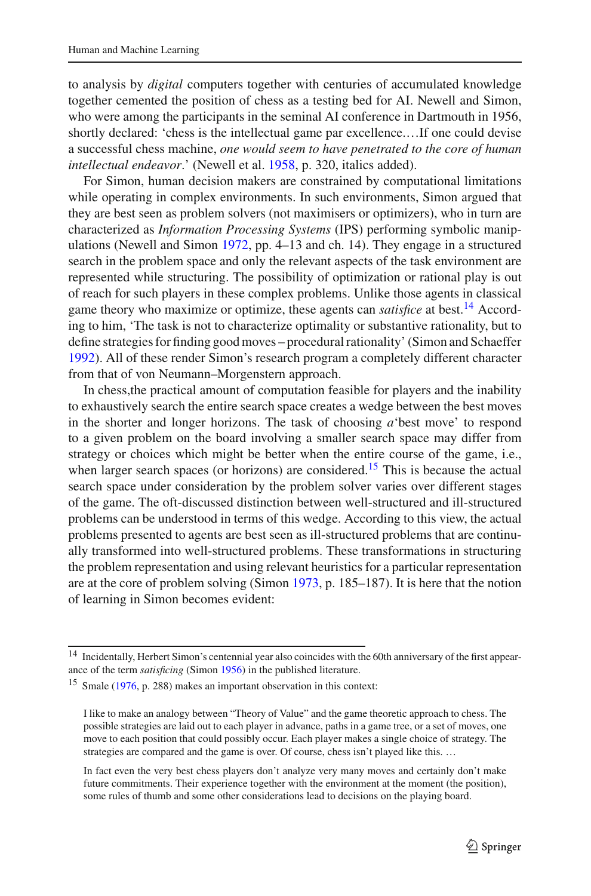to analysis by *digital* computers together with centuries of accumulated knowledge together cemented the position of chess as a testing bed for AI. Newell and Simon, who were among the participants in the seminal AI conference in Dartmouth in 1956, shortly declared: 'chess is the intellectual game par excellence.…If one could devise a successful chess machine, *one would seem to have penetrated to the core of human intellectual endeavor*.' (Newell et al[.](#page-19-10) [1958,](#page-19-10) p. 320, italics added).

For Simon, human decision makers are constrained by computational limitations while operating in complex environments. In such environments, Simon argued that they are best seen as problem solvers (not maximisers or optimizers), who in turn are characterized as *Information Processing Systems* (IPS) performing symbolic manipulations (Newell and Simo[n](#page-19-0) [1972,](#page-19-0) pp. 4–13 and ch. 14). They engage in a structured search in the problem space and only the relevant aspects of the task environment are represented while structuring. The possibility of optimization or rational play is out of reach for such players in these complex problems. Unlike those agents in classical game theory who maximize or optimize, these agents can *satisfice* at best.<sup>14</sup> According to him, 'The task is not to characterize optimality or substantive rationality, but to define strategies for finding good moves – procedural rationality' (Simon and Schaeffe[r](#page-20-1) [1992\)](#page-20-1). All of these render Simon's research program a completely different character from that of von Neumann–Morgenstern approach.

In chess,the practical amount of computation feasible for players and the inability to exhaustively search the entire search space creates a wedge between the best moves in the shorter and longer horizons. The task of choosing *a*'best move' to respond to a given problem on the board involving a smaller search space may differ from strategy or choices which might be better when the entire course of the game, i.e., when larger search spaces (or horizons) are considered.<sup>[15](#page-6-1)</sup> This is because the actual search space under consideration by the problem solver varies over different stages of the game. The oft-discussed distinction between well-structured and ill-structured problems can be understood in terms of this wedge. According to this view, the actual problems presented to agents are best seen as ill-structured problems that are continually transformed into well-structured problems. These transformations in structuring the problem representation and using relevant heuristics for a particular representation are at the core of problem solving (Simo[n](#page-19-11) [1973](#page-19-11), p. 185–187). It is here that the notion of learning in Simon becomes evident:

<span id="page-6-0"></span><sup>&</sup>lt;sup>14</sup> Incidentally, Herbert Simon's centennial year also coincides with the 60th anniversary of the first appearance of the term *satisficing* (Simo[n](#page-19-12) [1956](#page-19-12)) in the published literature.

<sup>15</sup> Smale [\(1976,](#page-20-3) p. 288) makes an important observation in this context:

<span id="page-6-1"></span>I like to make an analogy between "Theory of Value" and the game theoretic approach to chess. The possible strategies are laid out to each player in advance, paths in a game tree, or a set of moves, one move to each position that could possibly occur. Each player makes a single choice of strategy. The strategies are compared and the game is over. Of course, chess isn't played like this. …

In fact even the very best chess players don't analyze very many moves and certainly don't make future commitments. Their experience together with the environment at the moment (the position), some rules of thumb and some other considerations lead to decisions on the playing board.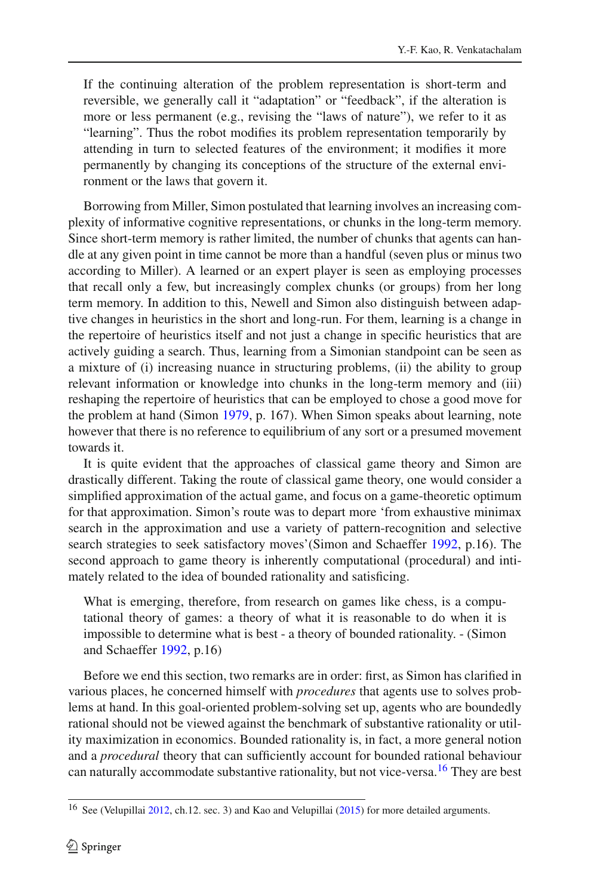If the continuing alteration of the problem representation is short-term and reversible, we generally call it "adaptation" or "feedback", if the alteration is more or less permanent (e.g., revising the "laws of nature"), we refer to it as "learning". Thus the robot modifies its problem representation temporarily by attending in turn to selected features of the environment; it modifies it more permanently by changing its conceptions of the structure of the external environment or the laws that govern it.

Borrowing from Miller, Simon postulated that learning involves an increasing complexity of informative cognitive representations, or chunks in the long-term memory. Since short-term memory is rather limited, the number of chunks that agents can handle at any given point in time cannot be more than a handful (seven plus or minus two according to Miller). A learned or an expert player is seen as employing processes that recall only a few, but increasingly complex chunks (or groups) from her long term memory. In addition to this, Newell and Simon also distinguish between adaptive changes in heuristics in the short and long-run. For them, learning is a change in the repertoire of heuristics itself and not just a change in specific heuristics that are actively guiding a search. Thus, learning from a Simonian standpoint can be seen as a mixture of (i) increasing nuance in structuring problems, (ii) the ability to group relevant information or knowledge into chunks in the long-term memory and (iii) reshaping the repertoire of heuristics that can be employed to chose a good move for the problem at hand (Simo[n](#page-20-4) [1979](#page-20-4), p. 167). When Simon speaks about learning, note however that there is no reference to equilibrium of any sort or a presumed movement towards it.

It is quite evident that the approaches of classical game theory and Simon are drastically different. Taking the route of classical game theory, one would consider a simplified approximation of the actual game, and focus on a game-theoretic optimum for that approximation. Simon's route was to depart more 'from exhaustive minimax search in the approximation and use a variety of pattern-recognition and selective search strategies to seek satisfactory moves'(Simon and Schaeffe[r](#page-20-1) [1992,](#page-20-1) p.16). The second approach to game theory is inherently computational (procedural) and intimately related to the idea of bounded rationality and satisficing.

What is emerging, therefore, from research on games like chess, is a computational theory of games: a theory of what it is reasonable to do when it is impossible to determine what is best - a theory of bounded rationality. - (Simon and Schaeffe[r](#page-20-1) [1992](#page-20-1), p.16)

Before we end this section, two remarks are in order: first, as Simon has clarified in various places, he concerned himself with *procedures* that agents use to solves problems at hand. In this goal-oriented problem-solving set up, agents who are boundedly rational should not be viewed against the benchmark of substantive rationality or utility maximization in economics. Bounded rationality is, in fact, a more general notion and a *procedural* theory that can sufficiently account for bounded rational behaviour can naturally accommodate substantive rationality, but not vice-versa.<sup>[16](#page-7-0)</sup> They are best

<span id="page-7-0"></span><sup>16</sup> See (Velupilla[i](#page-20-5) [2012](#page-20-5), ch.12. sec. 3) and Kao and Velupilla[i](#page-19-13) [\(2015](#page-19-13)) for more detailed arguments.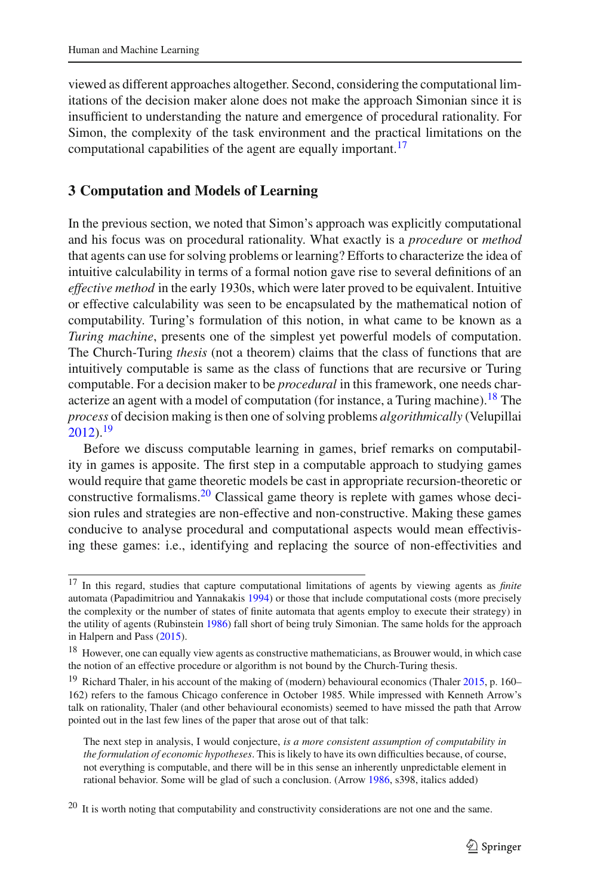viewed as different approaches altogether. Second, considering the computational limitations of the decision maker alone does not make the approach Simonian since it is insufficient to understanding the nature and emergence of procedural rationality. For Simon, the complexity of the task environment and the practical limitations on the computational capabilities of the agent are equally important.<sup>[17](#page-8-1)</sup>

## <span id="page-8-0"></span>**3 Computation and Models of Learning**

In the previous section, we noted that Simon's approach was explicitly computational and his focus was on procedural rationality. What exactly is a *procedure* or *method* that agents can use for solving problems or learning? Efforts to characterize the idea of intuitive calculability in terms of a formal notion gave rise to several definitions of an *effective method* in the early 1930s, which were later proved to be equivalent. Intuitive or effective calculability was seen to be encapsulated by the mathematical notion of computability. Turing's formulation of this notion, in what came to be known as a *Turing machine*, presents one of the simplest yet powerful models of computation. The Church-Turing *thesis* (not a theorem) claims that the class of functions that are intuitively computable is same as the class of functions that are recursive or Turing computable. For a decision maker to be *procedural* in this framework, one needs char-acterize an agent with a model of computation (for instance, a Turing machine).<sup>[18](#page-8-2)</sup> The *process* of decision making is then one of solving problems *algorithmically* (Velupilla[i](#page-20-5)  $2012$ ).<sup>[19](#page-8-3)</sup>

Before we discuss computable learning in games, brief remarks on computability in games is apposite. The first step in a computable approach to studying games would require that game theoretic models be cast in appropriate recursion-theoretic or constructive formalisms[.20](#page-8-4) Classical game theory is replete with games whose decision rules and strategies are non-effective and non-constructive. Making these games conducive to analyse procedural and computational aspects would mean effectivising these games: i.e., identifying and replacing the source of non-effectivities and

<span id="page-8-1"></span><sup>17</sup> In this regard, studies that capture computational limitations of agents by viewing agents as *finite* automata (Papadimitriou and Yannakaki[s](#page-19-14) [1994](#page-19-14)) or those that include computational costs (more precisely the complexity or the number of states of finite automata that agents employ to execute their strategy) in the utility of agents (Rubinstein [1986](#page-19-15)) fall short of being truly Simonian. The same holds for the approach in Halpern and Pas[s](#page-19-16) [\(2015\)](#page-19-16).

<span id="page-8-2"></span><sup>&</sup>lt;sup>18</sup> However, one can equally view agents as constructive mathematicians, as Brouwer would, in which case the notion of an effective procedure or algorithm is not bound by the Church-Turing thesis.

<span id="page-8-3"></span><sup>&</sup>lt;sup>19</sup> Richa[r](#page-20-6)d Thaler, in his account of the making of (modern) behavioural economics (Thaler [2015](#page-20-6), p. 160– 162) refers to the famous Chicago conference in October 1985. While impressed with Kenneth Arrow's talk on rationality, Thaler (and other behavioural economists) seemed to have missed the path that Arrow pointed out in the last few lines of the paper that arose out of that talk:

The next step in analysis, I would conjecture, *is a more consistent assumption of computability in the formulation of economic hypotheses*. This is likely to have its own difficulties because, of course, not everything is computable, and there will be in this sense an inherently unpredictable element in rational behavior. Some will be glad of such a conclusion. (Arro[w](#page-18-10) [1986,](#page-18-10) s398, italics added)

<span id="page-8-4"></span><sup>&</sup>lt;sup>20</sup> It is worth noting that computability and constructivity considerations are not one and the same.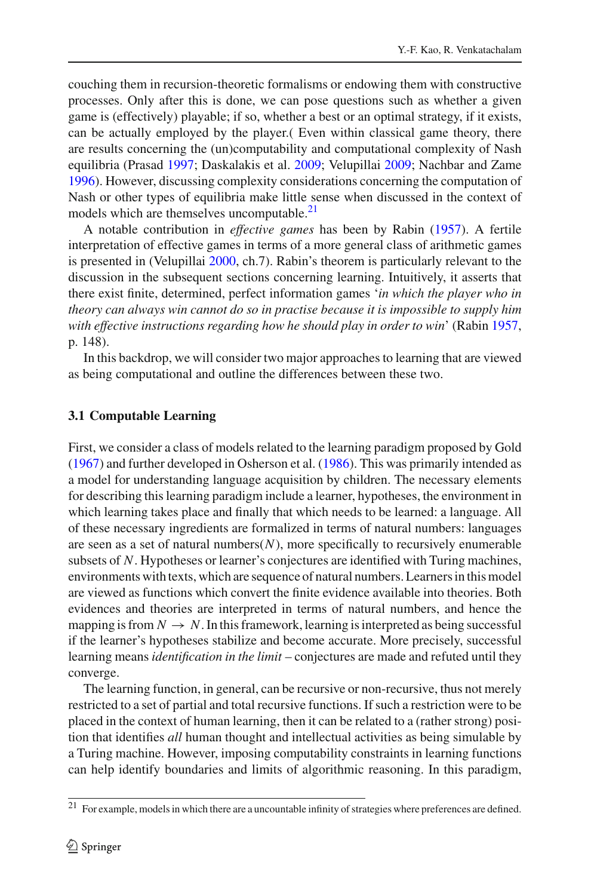couching them in recursion-theoretic formalisms or endowing them with constructive processes. Only after this is done, we can pose questions such as whether a given game is (effectively) playable; if so, whether a best or an optimal strategy, if it exists, can be actually employed by the player.( Even within classical game theory, there are results concerning the (un)computability and computational complexity of Nash equilibria (Prasa[d](#page-19-17) [1997](#page-19-17); Daskalakis et al[.](#page-18-11) [2009;](#page-18-11) Velupilla[i](#page-20-7) [2009;](#page-20-7) Nachbar and Zam[e](#page-19-18) [1996\)](#page-19-18). However, discussing complexity considerations concerning the computation of Nash or other types of equilibria make little sense when discussed in the context of models which are themselves uncomputable.<sup>21</sup>

A notable contribution in *effective games* has been by Rabi[n](#page-19-19) [\(1957](#page-19-19)). A fertile interpretation of effective games in terms of a more general class of arithmetic games is presented in (Velupilla[i](#page-20-8) [2000](#page-20-8), ch.7). Rabin's theorem is particularly relevant to the discussion in the subsequent sections concerning learning. Intuitively, it asserts that there exist finite, determined, perfect information games '*in which the player who in theory can always win cannot do so in practise because it is impossible to supply him with effective instructions regarding how he should play in order to win*' (Rabi[n](#page-19-19) [1957,](#page-19-19) p. 148).

In this backdrop, we will consider two major approaches to learning that are viewed as being computational and outline the differences between these two.

## **3.1 Computable Learning**

First, we consider a class of models related to the learning paradigm proposed by Gol[d](#page-19-20) [\(1967\)](#page-19-20) and further developed in Osherson et al[.](#page-19-21) [\(1986\)](#page-19-21). This was primarily intended as a model for understanding language acquisition by children. The necessary elements for describing this learning paradigm include a learner, hypotheses, the environment in which learning takes place and finally that which needs to be learned: a language. All of these necessary ingredients are formalized in terms of natural numbers: languages are seen as a set of natural numbers $(N)$ , more specifically to recursively enumerable subsets of *N*. Hypotheses or learner's conjectures are identified with Turing machines, environments with texts, which are sequence of natural numbers. Learners in this model are viewed as functions which convert the finite evidence available into theories. Both evidences and theories are interpreted in terms of natural numbers, and hence the mapping is from  $N \to N$ . In this framework, learning is interpreted as being successful if the learner's hypotheses stabilize and become accurate. More precisely, successful learning means *identification in the limit* – conjectures are made and refuted until they converge.

The learning function, in general, can be recursive or non-recursive, thus not merely restricted to a set of partial and total recursive functions. If such a restriction were to be placed in the context of human learning, then it can be related to a (rather strong) position that identifies *all* human thought and intellectual activities as being simulable by a Turing machine. However, imposing computability constraints in learning functions can help identify boundaries and limits of algorithmic reasoning. In this paradigm,

<span id="page-9-0"></span><sup>21</sup> For example, models in which there are a uncountable infinity of strategies where preferences are defined.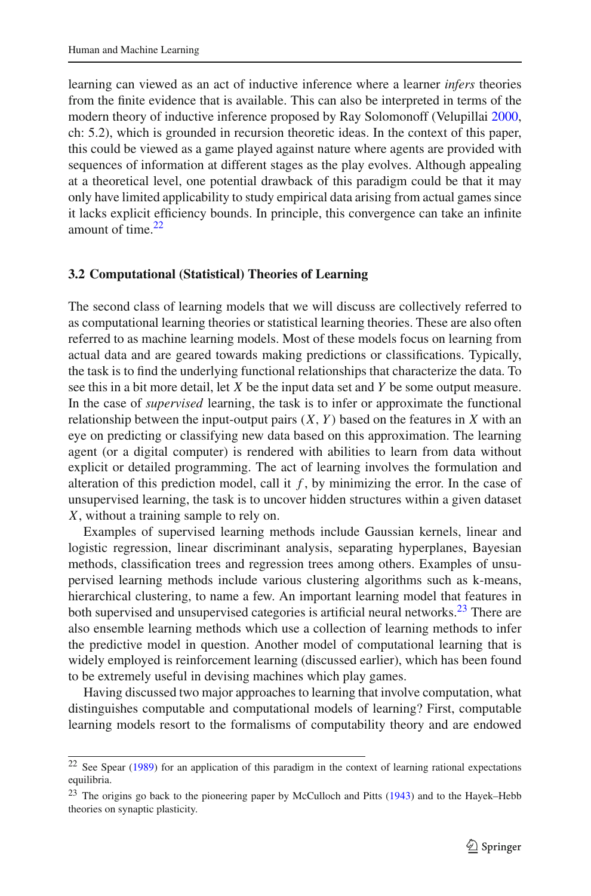learning can viewed as an act of inductive inference where a learner *infers* theories from the finite evidence that is available. This can also be interpreted in terms of the modern theory of inductive inference proposed by Ray Solomonoff (Velupilla[i](#page-20-8) [2000,](#page-20-8) ch: 5.2), which is grounded in recursion theoretic ideas. In the context of this paper, this could be viewed as a game played against nature where agents are provided with sequences of information at different stages as the play evolves. Although appealing at a theoretical level, one potential drawback of this paradigm could be that it may only have limited applicability to study empirical data arising from actual games since it lacks explicit efficiency bounds. In principle, this convergence can take an infinite amount of time. $22$ 

### **3.2 Computational (Statistical) Theories of Learning**

The second class of learning models that we will discuss are collectively referred to as computational learning theories or statistical learning theories. These are also often referred to as machine learning models. Most of these models focus on learning from actual data and are geared towards making predictions or classifications. Typically, the task is to find the underlying functional relationships that characterize the data. To see this in a bit more detail, let *X* be the input data set and *Y* be some output measure. In the case of *supervised* learning, the task is to infer or approximate the functional relationship between the input-output pairs  $(X, Y)$  based on the features in  $X$  with an eye on predicting or classifying new data based on this approximation. The learning agent (or a digital computer) is rendered with abilities to learn from data without explicit or detailed programming. The act of learning involves the formulation and alteration of this prediction model, call it  $f$ , by minimizing the error. In the case of unsupervised learning, the task is to uncover hidden structures within a given dataset *X*, without a training sample to rely on.

Examples of supervised learning methods include Gaussian kernels, linear and logistic regression, linear discriminant analysis, separating hyperplanes, Bayesian methods, classification trees and regression trees among others. Examples of unsupervised learning methods include various clustering algorithms such as k-means, hierarchical clustering, to name a few. An important learning model that features in both supervised and unsupervised categories is artificial neural networks.<sup>23</sup> There are also ensemble learning methods which use a collection of learning methods to infer the predictive model in question. Another model of computational learning that is widely employed is reinforcement learning (discussed earlier), which has been found to be extremely useful in devising machines which play games.

Having discussed two major approaches to learning that involve computation, what distinguishes computable and computational models of learning? First, computable learning models resort to the formalisms of computability theory and are endowed

<span id="page-10-0"></span><sup>22</sup> See Spea[r](#page-20-9) [\(1989\)](#page-20-9) for an application of this paradigm in the context of learning rational expectations equilibria.

<span id="page-10-1"></span><sup>&</sup>lt;[s](#page-19-22)up>23</sup> The origins go back to the pioneering paper by McCulloch and Pitts [\(1943\)](#page-19-22) and to the Hayek–Hebb theories on synaptic plasticity.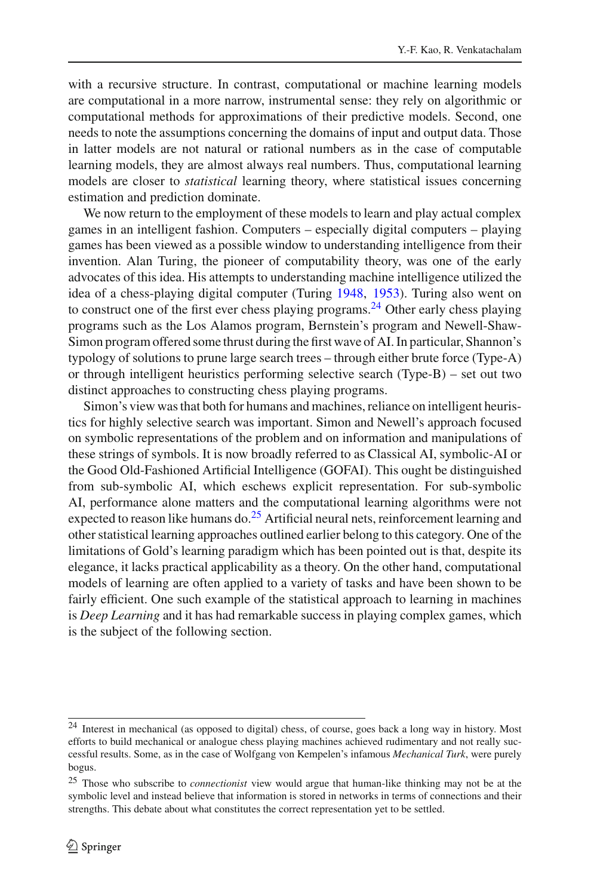with a recursive structure. In contrast, computational or machine learning models are computational in a more narrow, instrumental sense: they rely on algorithmic or computational methods for approximations of their predictive models. Second, one needs to note the assumptions concerning the domains of input and output data. Those in latter models are not natural or rational numbers as in the case of computable learning models, they are almost always real numbers. Thus, computational learning models are closer to *statistical* learning theory, where statistical issues concerning estimation and prediction dominate.

We now return to the employment of these models to learn and play actual complex games in an intelligent fashion. Computers – especially digital computers – playing games has been viewed as a possible window to understanding intelligence from their invention. Alan Turing, the pioneer of computability theory, was one of the early advocates of this idea. His attempts to understanding machine intelligence utilized the idea of a chess-playing digital computer (Turin[g](#page-20-10) [1948](#page-20-10), [1953](#page-20-11)). Turing also went on to construct one of the first ever chess playing programs.<sup>24</sup> Other early chess playing programs such as the Los Alamos program, Bernstein's program and Newell-Shaw-Simon program offered some thrust during the first wave of AI. In particular, Shannon's typology of solutions to prune large search trees – through either brute force (Type-A) or through intelligent heuristics performing selective search (Type-B) – set out two distinct approaches to constructing chess playing programs.

Simon's view was that both for humans and machines, reliance on intelligent heuristics for highly selective search was important. Simon and Newell's approach focused on symbolic representations of the problem and on information and manipulations of these strings of symbols. It is now broadly referred to as Classical AI, symbolic-AI or the Good Old-Fashioned Artificial Intelligence (GOFAI). This ought be distinguished from sub-symbolic AI, which eschews explicit representation. For sub-symbolic AI, performance alone matters and the computational learning algorithms were not expected to reason like humans do.<sup>25</sup> Artificial neural nets, reinforcement learning and other statistical learning approaches outlined earlier belong to this category. One of the limitations of Gold's learning paradigm which has been pointed out is that, despite its elegance, it lacks practical applicability as a theory. On the other hand, computational models of learning are often applied to a variety of tasks and have been shown to be fairly efficient. One such example of the statistical approach to learning in machines is *Deep Learning* and it has had remarkable success in playing complex games, which is the subject of the following section.

<span id="page-11-0"></span><sup>24</sup> Interest in mechanical (as opposed to digital) chess, of course, goes back a long way in history. Most efforts to build mechanical or analogue chess playing machines achieved rudimentary and not really successful results. Some, as in the case of Wolfgang von Kempelen's infamous *Mechanical Turk*, were purely bogus.

<span id="page-11-1"></span><sup>25</sup> Those who subscribe to *connectionist* view would argue that human-like thinking may not be at the symbolic level and instead believe that information is stored in networks in terms of connections and their strengths. This debate about what constitutes the correct representation yet to be settled.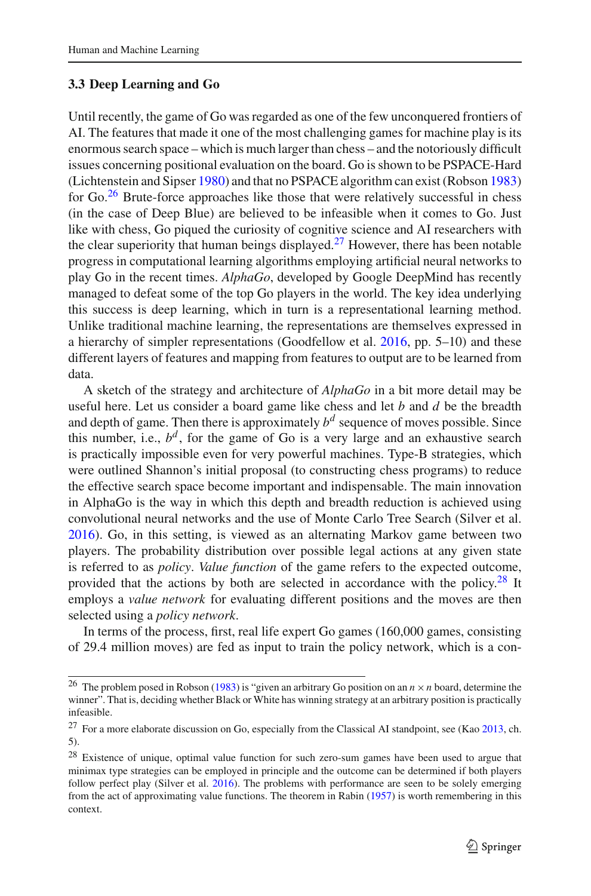## **3.3 Deep Learning and Go**

Until recently, the game of Go was regarded as one of the few unconquered frontiers of AI. The features that made it one of the most challenging games for machine play is its enormous search space – which is much larger than chess – and the notoriously difficult issues concerning positional evaluation on the board. Go is shown to be PSPACE-Hard (Lichtenstein and Sipse[r](#page-19-23) [1980](#page-19-23)) and that no PSPACE algorithm can exist (Robso[n](#page-19-24) [1983\)](#page-19-24) for  $Go.26$  $Go.26$  Brute-force approaches like those that were relatively successful in chess (in the case of Deep Blue) are believed to be infeasible when it comes to Go. Just like with chess, Go piqued the curiosity of cognitive science and AI researchers with the clear superiority that human beings displayed.<sup>[27](#page-12-1)</sup> However, there has been notable progress in computational learning algorithms employing artificial neural networks to play Go in the recent times. *AlphaGo*, developed by Google DeepMind has recently managed to defeat some of the top Go players in the world. The key idea underlying this success is deep learning, which in turn is a representational learning method. Unlike traditional machine learning, the representations are themselves expressed in a hierarchy of simpler representations (Goodfellow et al[.](#page-19-25) [2016,](#page-19-25) pp. 5–10) and these different layers of features and mapping from features to output are to be learned from data.

A sketch of the strategy and architecture of *AlphaGo* in a bit more detail may be useful here. Let us consider a board game like chess and let *b* and *d* be the breadth and depth of game. Then there is approximately  $b^d$  sequence of moves possible. Since this number, i.e.,  $b^d$ , for the game of Go is a very large and an exhaustive search is practically impossible even for very powerful machines. Type-B strategies, which were outlined Shannon's initial proposal (to constructing chess programs) to reduce the effective search space become important and indispensable. The main innovation in AlphaGo is the way in which this depth and breadth reduction is achieved using convolutional neural networks and the use of Monte Carlo Tree Search (Silver et al[.](#page-19-1) [2016\)](#page-19-1). Go, in this setting, is viewed as an alternating Markov game between two players. The probability distribution over possible legal actions at any given state is referred to as *policy*. *Value function* of the game refers to the expected outcome, provided that the actions by both are selected in accordance with the policy. $^{28}$  It employs a *value network* for evaluating different positions and the moves are then selected using a *policy network*.

In terms of the process, first, real life expert Go games (160,000 games, consisting of 29.4 million moves) are fed as input to train the policy network, which is a con-

<span id="page-12-0"></span><sup>&</sup>lt;sup>26</sup> The problem posed i[n](#page-19-24) Robson [\(1983\)](#page-19-24) is "given an arbitrary Go position on an  $n \times n$  board, determine the winner". That is, deciding whether Black or White has winning strategy at an arbitrary position is practically infeasible.

<span id="page-12-1"></span><sup>&</sup>lt;sup>27</sup> F[o](#page-19-26)r a more elaborate discussion on Go, especially from the Classical AI standpoint, see (Kao [2013,](#page-19-26) ch. 5).

<span id="page-12-2"></span><sup>&</sup>lt;sup>28</sup> Existence of unique, optimal value function for such zero-sum games have been used to argue that minimax type strategies can be employed in principle and the outcome can be determined if both players follow perfect play (Silver et al[.](#page-19-1) [2016](#page-19-1)). The problems with performance are seen to be solely emerging from the act of approximating value functions. The theorem in Rabi[n](#page-19-19) [\(1957](#page-19-19)) is worth remembering in this context.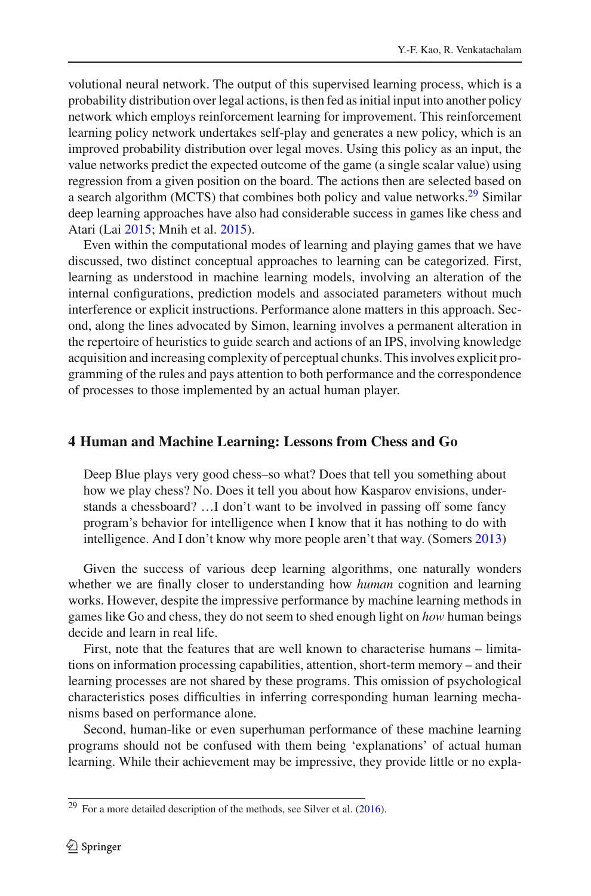volutional neural network. The output of this supervised learning process, which is a probability distribution over legal actions, is then fed as initial input into another policy network which employs reinforcement learning for improvement. This reinforcement learning policy network undertakes self-play and generates a new policy, which is an improved probability distribution over legal moves. Using this policy as an input, the value networks predict the expected outcome of the game (a single scalar value) using regression from a given position on the board. The actions then are selected based on a search algorithm (MCTS) that combines both policy and value networks.<sup>[29](#page-13-1)</sup> Similar deep learning approaches have also had considerable success in games like chess and Atari (La[i](#page-19-27) [2015;](#page-19-27) Mnih et al[.](#page-19-28) [2015\)](#page-19-28).

Even within the computational modes of learning and playing games that we have discussed, two distinct conceptual approaches to learning can be categorized. First, learning as understood in machine learning models, involving an alteration of the internal configurations, prediction models and associated parameters without much interference or explicit instructions. Performance alone matters in this approach. Second, along the lines advocated by Simon, learning involves a permanent alteration in the repertoire of heuristics to guide search and actions of an IPS, involving knowledge acquisition and increasing complexity of perceptual chunks. This involves explicit programming of the rules and pays attention to both performance and the correspondence of processes to those implemented by an actual human player.

## <span id="page-13-0"></span>**4 Human and Machine Learning: Lessons from Chess and Go**

Deep Blue plays very good chess–so what? Does that tell you something about how we play chess? No. Does it tell you about how Kasparov envisions, understands a chessboard? …I don't want to be involved in passing off some fancy program's behavior for intelligence when I know that it has nothing to do with intelligence. And I don't know why more people aren't that way. (Somer[s](#page-20-12) [2013](#page-20-12))

Given the success of various deep learning algorithms, one naturally wonders whether we are finally closer to understanding how *human* cognition and learning works. However, despite the impressive performance by machine learning methods in games like Go and chess, they do not seem to shed enough light on *how* human beings decide and learn in real life.

First, note that the features that are well known to characterise humans – limitations on information processing capabilities, attention, short-term memory – and their learning processes are not shared by these programs. This omission of psychological characteristics poses difficulties in inferring corresponding human learning mechanisms based on performance alone.

Second, human-like or even superhuman performance of these machine learning programs should not be confused with them being 'explanations' of actual human learning. While their achievement may be impressive, they provide little or no expla-

<span id="page-13-1"></span><sup>&</sup>lt;sup>29</sup> For a more detailed description of the methods, see Silver et al[.](#page-19-1)  $(2016)$  $(2016)$ .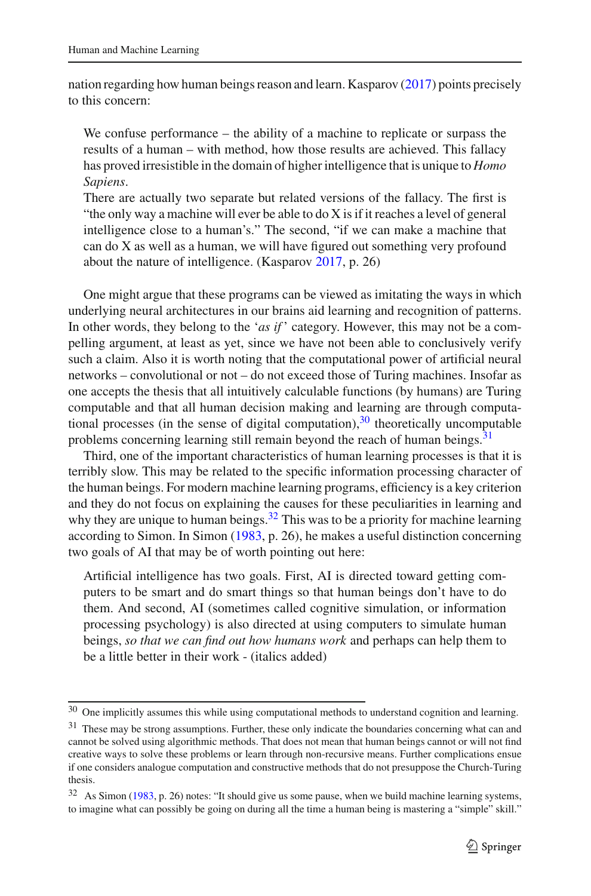nation regarding how human beings reason and learn. Kasparo[v](#page-19-29) [\(2017](#page-19-29)) points precisely to this concern:

We confuse performance – the ability of a machine to replicate or surpass the results of a human – with method, how those results are achieved. This fallacy has proved irresistible in the domain of higher intelligence that is unique to *Homo Sapiens*.

There are actually two separate but related versions of the fallacy. The first is "the only way a machine will ever be able to do X is if it reaches a level of general intelligence close to a human's." The second, "if we can make a machine that can do X as well as a human, we will have figured out something very profound about the nature of intelligence. (Kasparo[v](#page-19-29) [2017,](#page-19-29) p. 26)

One might argue that these programs can be viewed as imitating the ways in which underlying neural architectures in our brains aid learning and recognition of patterns. In other words, they belong to the '*as if*' category. However, this may not be a compelling argument, at least as yet, since we have not been able to conclusively verify such a claim. Also it is worth noting that the computational power of artificial neural networks – convolutional or not – do not exceed those of Turing machines. Insofar as one accepts the thesis that all intuitively calculable functions (by humans) are Turing computable and that all human decision making and learning are through computational processes (in the sense of digital computation), $30$  theoretically uncomputable problems concerning learning still remain beyond the reach of human beings.<sup>[31](#page-14-1)</sup>

Third, one of the important characteristics of human learning processes is that it is terribly slow. This may be related to the specific information processing character of the human beings. For modern machine learning programs, efficiency is a key criterion and they do not focus on explaining the causes for these peculiarities in learning and why they are unique to human beings.<sup>32</sup> This was to be a priority for machine learning according to Simon. In Simon [\(1983,](#page-20-13) p. 26), he makes a useful distinction concerning two goals of AI that may be of worth pointing out here:

Artificial intelligence has two goals. First, AI is directed toward getting computers to be smart and do smart things so that human beings don't have to do them. And second, AI (sometimes called cognitive simulation, or information processing psychology) is also directed at using computers to simulate human beings, *so that we can find out how humans work* and perhaps can help them to be a little better in their work - (italics added)

<sup>&</sup>lt;sup>30</sup> One implicitly assumes this while using computational methods to understand cognition and learning.

<span id="page-14-1"></span><span id="page-14-0"></span><sup>31</sup> These may be strong assumptions. Further, these only indicate the boundaries concerning what can and cannot be solved using algorithmic methods. That does not mean that human beings cannot or will not find creative ways to solve these problems or learn through non-recursive means. Further complications ensue if one considers analogue computation and constructive methods that do not presuppose the Church-Turing thesis.

<span id="page-14-2"></span> $32$  As Simon [\(1983,](#page-20-13) p. 26) notes: "It should give us some pause, when we build machine learning systems, to imagine what can possibly be going on during all the time a human being is mastering a "simple" skill."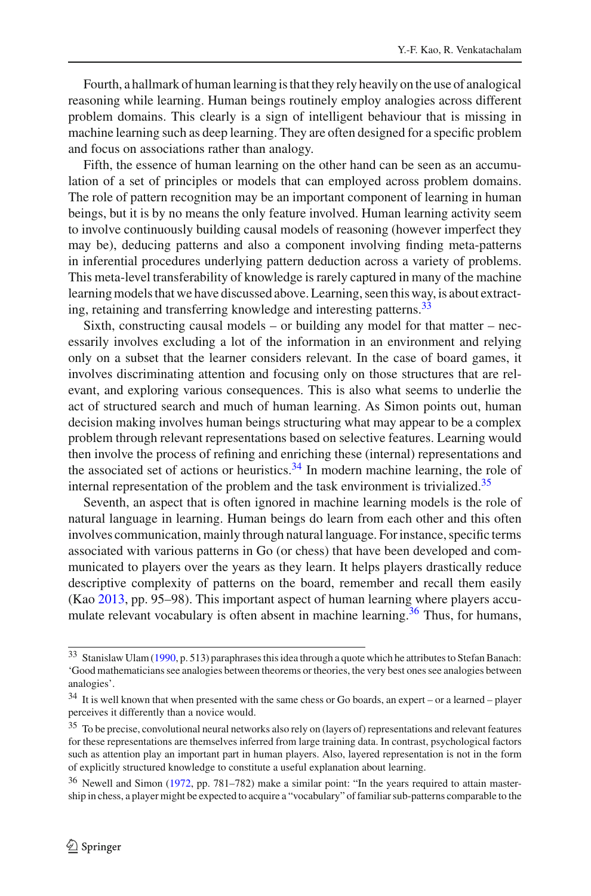Fourth, a hallmark of human learning is that they rely heavily on the use of analogical reasoning while learning. Human beings routinely employ analogies across different problem domains. This clearly is a sign of intelligent behaviour that is missing in machine learning such as deep learning. They are often designed for a specific problem and focus on associations rather than analogy.

Fifth, the essence of human learning on the other hand can be seen as an accumulation of a set of principles or models that can employed across problem domains. The role of pattern recognition may be an important component of learning in human beings, but it is by no means the only feature involved. Human learning activity seem to involve continuously building causal models of reasoning (however imperfect they may be), deducing patterns and also a component involving finding meta-patterns in inferential procedures underlying pattern deduction across a variety of problems. This meta-level transferability of knowledge is rarely captured in many of the machine learning models that we have discussed above. Learning, seen this way, is about extract-ing, retaining and transferring knowledge and interesting patterns.<sup>[33](#page-15-0)</sup>

Sixth, constructing causal models – or building any model for that matter – necessarily involves excluding a lot of the information in an environment and relying only on a subset that the learner considers relevant. In the case of board games, it involves discriminating attention and focusing only on those structures that are relevant, and exploring various consequences. This is also what seems to underlie the act of structured search and much of human learning. As Simon points out, human decision making involves human beings structuring what may appear to be a complex problem through relevant representations based on selective features. Learning would then involve the process of refining and enriching these (internal) representations and the associated set of actions or heuristics.<sup>[34](#page-15-1)</sup> In modern machine learning, the role of internal representation of the problem and the task environment is trivialized.<sup>35</sup>

Seventh, an aspect that is often ignored in machine learning models is the role of natural language in learning. Human beings do learn from each other and this often involves communication, mainly through natural language. For instance, specific terms associated with various patterns in Go (or chess) that have been developed and communicated to players over the years as they learn. It helps players drastically reduce descriptive complexity of patterns on the board, remember and recall them easily (Ka[o](#page-19-26) [2013,](#page-19-26) pp. 95–98). This important aspect of human learning where players accu-mulate relevant vocabulary is often absent in machine learning.<sup>[36](#page-15-3)</sup> Thus, for humans,

<span id="page-15-0"></span><sup>33</sup> Stanislaw Ulam [\(1990,](#page-20-14) p. 513) paraphrases this idea through a quote which he attributes to Stefan Banach: 'Good mathematicians see analogies between theorems or theories, the very best ones see analogies between analogies'.

<span id="page-15-1"></span><sup>34</sup> It is well known that when presented with the same chess or Go boards, an expert – or a learned – player perceives it differently than a novice would.

<span id="page-15-2"></span><sup>35</sup> To be precise, convolutional neural networks also rely on (layers of) representations and relevant features for these representations are themselves inferred from large training data. In contrast, psychological factors such as attention play an important part in human players. Also, layered representation is not in the form of explicitly structured knowledge to constitute a useful explanation about learning.

<span id="page-15-3"></span><sup>36</sup> Newell and Simon [\(1972](#page-19-0), pp. 781–782) make a similar point: "In the years required to attain mastership in chess, a player might be expected to acquire a "vocabulary" of familiar sub-patterns comparable to the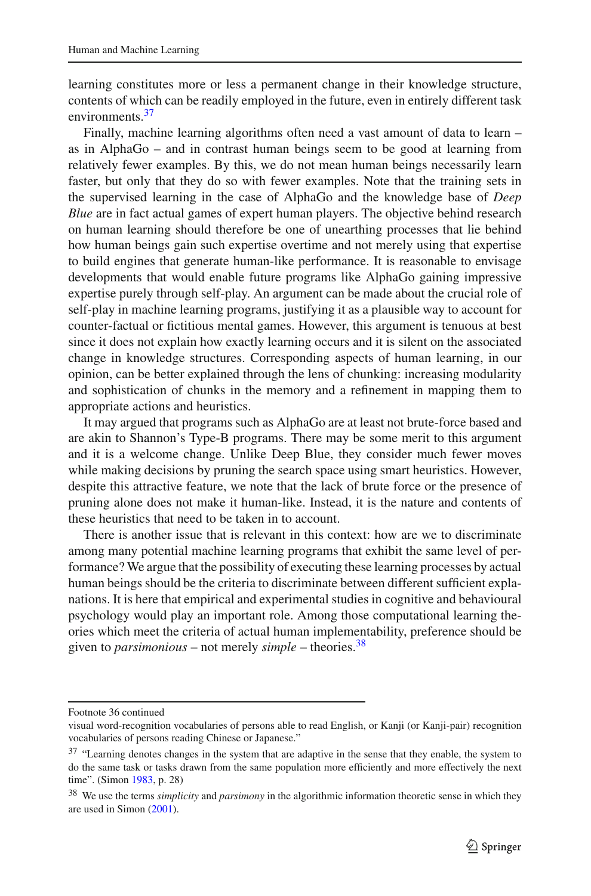learning constitutes more or less a permanent change in their knowledge structure, contents of which can be readily employed in the future, even in entirely different task environments[.37](#page-16-0)

Finally, machine learning algorithms often need a vast amount of data to learn – as in AlphaGo – and in contrast human beings seem to be good at learning from relatively fewer examples. By this, we do not mean human beings necessarily learn faster, but only that they do so with fewer examples. Note that the training sets in the supervised learning in the case of AlphaGo and the knowledge base of *Deep Blue* are in fact actual games of expert human players. The objective behind research on human learning should therefore be one of unearthing processes that lie behind how human beings gain such expertise overtime and not merely using that expertise to build engines that generate human-like performance. It is reasonable to envisage developments that would enable future programs like AlphaGo gaining impressive expertise purely through self-play. An argument can be made about the crucial role of self-play in machine learning programs, justifying it as a plausible way to account for counter-factual or fictitious mental games. However, this argument is tenuous at best since it does not explain how exactly learning occurs and it is silent on the associated change in knowledge structures. Corresponding aspects of human learning, in our opinion, can be better explained through the lens of chunking: increasing modularity and sophistication of chunks in the memory and a refinement in mapping them to appropriate actions and heuristics.

It may argued that programs such as AlphaGo are at least not brute-force based and are akin to Shannon's Type-B programs. There may be some merit to this argument and it is a welcome change. Unlike Deep Blue, they consider much fewer moves while making decisions by pruning the search space using smart heuristics. However, despite this attractive feature, we note that the lack of brute force or the presence of pruning alone does not make it human-like. Instead, it is the nature and contents of these heuristics that need to be taken in to account.

There is another issue that is relevant in this context: how are we to discriminate among many potential machine learning programs that exhibit the same level of performance? We argue that the possibility of executing these learning processes by actual human beings should be the criteria to discriminate between different sufficient explanations. It is here that empirical and experimental studies in cognitive and behavioural psychology would play an important role. Among those computational learning theories which meet the criteria of actual human implementability, preference should be given to *parsimonious* – not merely *simple* – theories[.38](#page-16-1)

Footnote 36 continued

visual word-recognition vocabularies of persons able to read English, or Kanji (or Kanji-pair) recognition vocabularies of persons reading Chinese or Japanese."

<span id="page-16-0"></span><sup>&</sup>lt;sup>37</sup> "Learning denotes changes in the system that are adaptive in the sense that they enable, the system to do the same task or tasks drawn from the same population more efficiently and more effectively the next time". (Simo[n](#page-20-13) [1983,](#page-20-13) p. 28)

<span id="page-16-1"></span><sup>38</sup> We use the terms *simplicity* and *parsimony* in the algorithmic information theoretic sense in which they are used in Simo[n](#page-20-15) [\(2001\)](#page-20-15).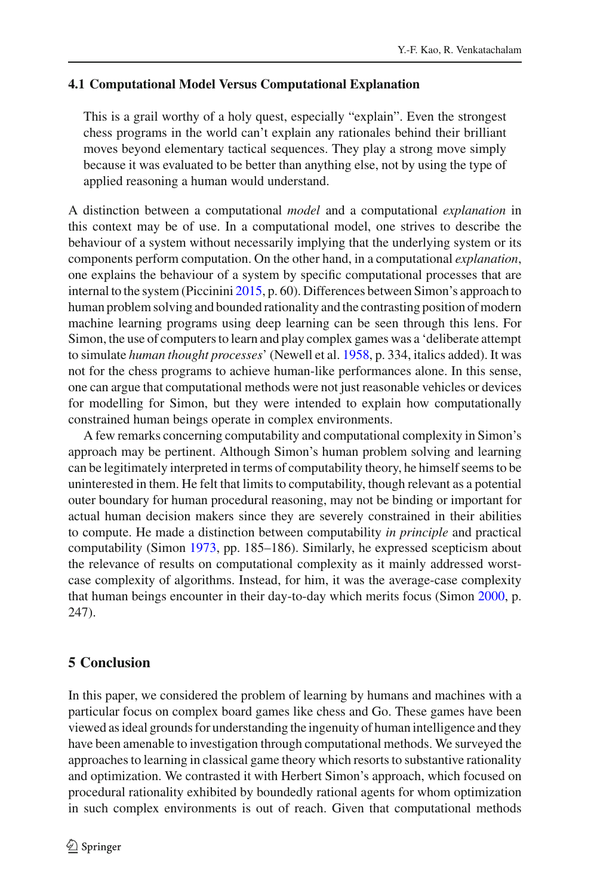#### **4.1 Computational Model Versus Computational Explanation**

This is a grail worthy of a holy quest, especially "explain". Even the strongest chess programs in the world can't explain any rationales behind their brilliant moves beyond elementary tactical sequences. They play a strong move simply because it was evaluated to be better than anything else, not by using the type of applied reasoning a human would understand.

A distinction between a computational *model* and a computational *explanation* in this context may be of use. In a computational model, one strives to describe the behaviour of a system without necessarily implying that the underlying system or its components perform computation. On the other hand, in a computational *explanation*, one explains the behaviour of a system by specific computational processes that are internal to the system (Piccinin[i](#page-19-30) [2015](#page-19-30), p. 60). Differences between Simon's approach to human problem solving and bounded rationality and the contrasting position of modern machine learning programs using deep learning can be seen through this lens. For Simon, the use of computers to learn and play complex games was a 'deliberate attempt to simulate *human thought processes*' (Newell et al[.](#page-19-10) [1958,](#page-19-10) p. 334, italics added). It was not for the chess programs to achieve human-like performances alone. In this sense, one can argue that computational methods were not just reasonable vehicles or devices for modelling for Simon, but they were intended to explain how computationally constrained human beings operate in complex environments.

A few remarks concerning computability and computational complexity in Simon's approach may be pertinent. Although Simon's human problem solving and learning can be legitimately interpreted in terms of computability theory, he himself seems to be uninterested in them. He felt that limits to computability, though relevant as a potential outer boundary for human procedural reasoning, may not be binding or important for actual human decision makers since they are severely constrained in their abilities to compute. He made a distinction between computability *in principle* and practical computability (Simo[n](#page-19-11) [1973,](#page-19-11) pp. 185–186). Similarly, he expressed scepticism about the relevance of results on computational complexity as it mainly addressed worstcase complexity of algorithms. Instead, for him, it was the average-case complexity that human beings encounter in their day-to-day which merits focus (Simo[n](#page-20-16) [2000,](#page-20-16) p. 247).

## **5 Conclusion**

In this paper, we considered the problem of learning by humans and machines with a particular focus on complex board games like chess and Go. These games have been viewed as ideal grounds for understanding the ingenuity of human intelligence and they have been amenable to investigation through computational methods. We surveyed the approaches to learning in classical game theory which resorts to substantive rationality and optimization. We contrasted it with Herbert Simon's approach, which focused on procedural rationality exhibited by boundedly rational agents for whom optimization in such complex environments is out of reach. Given that computational methods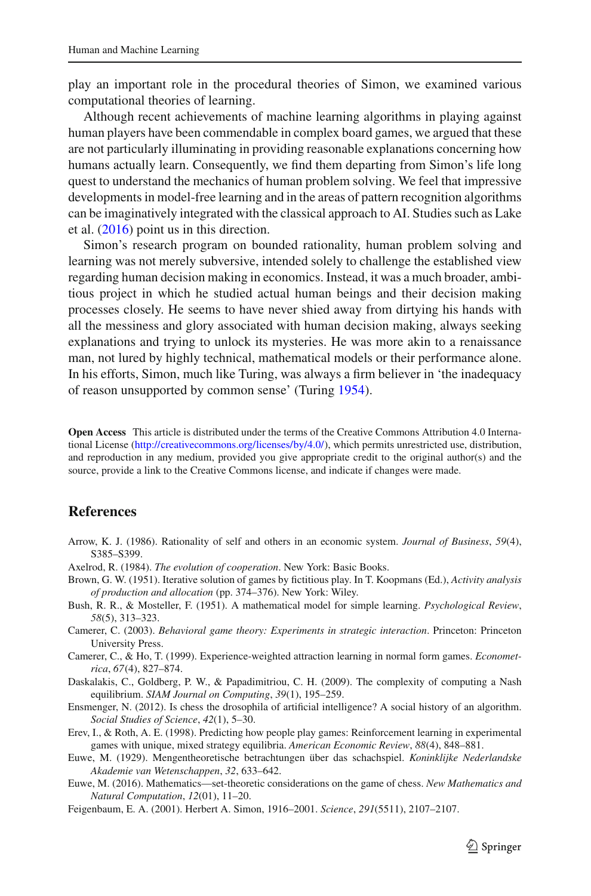play an important role in the procedural theories of Simon, we examined various computational theories of learning.

Although recent achievements of machine learning algorithms in playing against human players have been commendable in complex board games, we argued that these are not particularly illuminating in providing reasonable explanations concerning how humans actually learn. Consequently, we find them departing from Simon's life long quest to understand the mechanics of human problem solving. We feel that impressive developments in model-free learning and in the areas of pattern recognition algorithms can be imaginatively integrated with the classical approach to AI. Studies such as Lake et al[.](#page-19-31) [\(2016\)](#page-19-31) point us in this direction.

Simon's research program on bounded rationality, human problem solving and learning was not merely subversive, intended solely to challenge the established view regarding human decision making in economics. Instead, it was a much broader, ambitious project in which he studied actual human beings and their decision making processes closely. He seems to have never shied away from dirtying his hands with all the messiness and glory associated with human decision making, always seeking explanations and trying to unlock its mysteries. He was more akin to a renaissance man, not lured by highly technical, mathematical models or their performance alone. In his efforts, Simon, much like Turing, was always a firm believer in 'the inadequacy of reason unsupported by common sense' (Turin[g](#page-20-17) [1954](#page-20-17)).

**Open Access** This article is distributed under the terms of the Creative Commons Attribution 4.0 International License [\(http://creativecommons.org/licenses/by/4.0/\)](http://creativecommons.org/licenses/by/4.0/), which permits unrestricted use, distribution, and reproduction in any medium, provided you give appropriate credit to the original author(s) and the source, provide a link to the Creative Commons license, and indicate if changes were made.

## **References**

- <span id="page-18-10"></span>Arrow, K. J. (1986). Rationality of self and others in an economic system. *Journal of Business*, *59*(4), S385–S399.
- <span id="page-18-5"></span>Axelrod, R. (1984). *The evolution of cooperation*. New York: Basic Books.
- <span id="page-18-2"></span>Brown, G. W. (1951). Iterative solution of games by fictitious play. In T. Koopmans (Ed.), *Activity analysis of production and allocation* (pp. 374–376). New York: Wiley.
- <span id="page-18-3"></span>Bush, R. R., & Mosteller, F. (1951). A mathematical model for simple learning. *Psychological Review*, *58*(5), 313–323.
- <span id="page-18-1"></span>Camerer, C. (2003). *Behavioral game theory: Experiments in strategic interaction*. Princeton: Princeton University Press.
- <span id="page-18-6"></span>Camerer, C., & Ho, T. (1999). Experience-weighted attraction learning in normal form games. *Econometrica*, *67*(4), 827–874.
- <span id="page-18-11"></span>Daskalakis, C., Goldberg, P. W., & Papadimitriou, C. H. (2009). The complexity of computing a Nash equilibrium. *SIAM Journal on Computing*, *39*(1), 195–259.
- <span id="page-18-7"></span>Ensmenger, N. (2012). Is chess the drosophila of artificial intelligence? A social history of an algorithm. *Social Studies of Science*, *42*(1), 5–30.
- <span id="page-18-4"></span>Erev, I., & Roth, A. E. (1998). Predicting how people play games: Reinforcement learning in experimental games with unique, mixed strategy equilibria. *American Economic Review*, *88*(4), 848–881.
- <span id="page-18-8"></span>Euwe, M. (1929). Mengentheoretische betrachtungen über das schachspiel. *Koninklijke Nederlandske Akademie van Wetenschappen*, *32*, 633–642.
- <span id="page-18-9"></span>Euwe, M. (2016). Mathematics—set-theoretic considerations on the game of chess. *New Mathematics and Natural Computation*, *12*(01), 11–20.
- <span id="page-18-0"></span>Feigenbaum, E. A. (2001). Herbert A. Simon, 1916–2001. *Science*, *291*(5511), 2107–2107.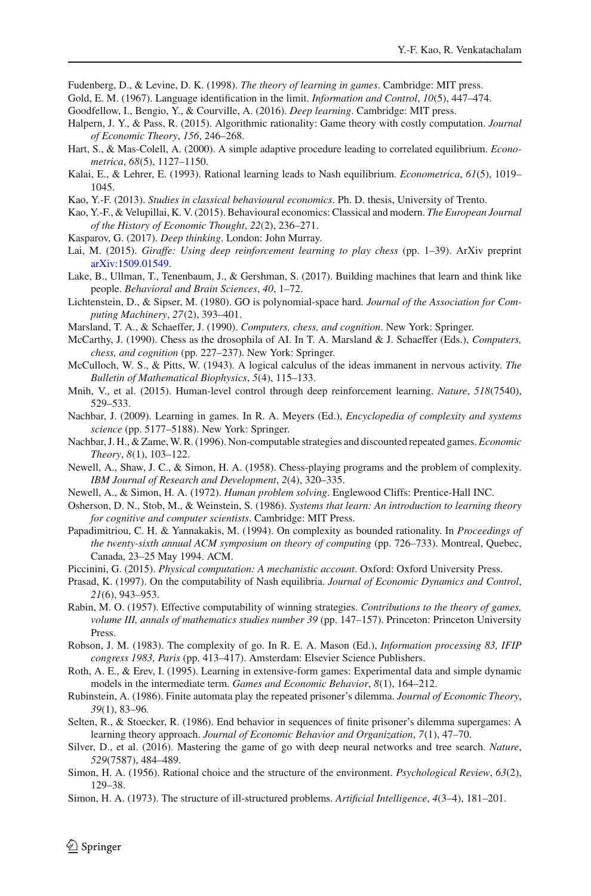<span id="page-19-4"></span>Fudenberg, D., & Levine, D. K. (1998). *The theory of learning in games*. Cambridge: MIT press.

- <span id="page-19-20"></span>Gold, E. M. (1967). Language identification in the limit. *Information and Control*, *10*(5), 447–474.
- <span id="page-19-25"></span>Goodfellow, I., Bengio, Y., & Courville, A. (2016). *Deep learning*. Cambridge: MIT press.
- <span id="page-19-16"></span>Halpern, J. Y., & Pass, R. (2015). Algorithmic rationality: Game theory with costly computation. *Journal of Economic Theory*, *156*, 246–268.
- <span id="page-19-6"></span>Hart, S., & Mas-Colell, A. (2000). A simple adaptive procedure leading to correlated equilibrium. *Econometrica*, *68*(5), 1127–1150.
- <span id="page-19-2"></span>Kalai, E., & Lehrer, E. (1993). Rational learning leads to Nash equilibrium. *Econometrica*, *61*(5), 1019– 1045.
- <span id="page-19-26"></span>Kao, Y.-F. (2013). *Studies in classical behavioural economics*. Ph. D. thesis, University of Trento.
- <span id="page-19-13"></span>Kao, Y.-F., & Velupillai, K. V. (2015). Behavioural economics: Classical and modern. *The European Journal of the History of Economic Thought*, *22*(2), 236–271.
- <span id="page-19-29"></span>Kasparov, G. (2017). *Deep thinking*. London: John Murray.
- <span id="page-19-27"></span>Lai, M. (2015). *Giraffe: Using deep reinforcement learning to play chess* (pp. 1–39). ArXiv preprint [arXiv:1509.01549.](http://arxiv.org/abs/1509.01549)
- <span id="page-19-31"></span>Lake, B., Ullman, T., Tenenbaum, J., & Gershman, S. (2017). Building machines that learn and think like people. *Behavioral and Brain Sciences*, *40*, 1–72.
- <span id="page-19-23"></span>Lichtenstein, D., & Sipser, M. (1980). GO is polynomial-space hard. *Journal of the Association for Computing Machinery*, *27*(2), 393–401.
- <span id="page-19-9"></span>Marsland, T. A., & Schaeffer, J. (1990). *Computers, chess, and cognition*. New York: Springer.
- <span id="page-19-8"></span>McCarthy, J. (1990). Chess as the drosophila of AI. In T. A. Marsland & J. Schaeffer (Eds.), *Computers, chess, and cognition* (pp. 227–237). New York: Springer.
- <span id="page-19-22"></span>McCulloch, W. S., & Pitts, W. (1943). A logical calculus of the ideas immanent in nervous activity. *The Bulletin of Mathematical Biophysics*, *5*(4), 115–133.
- <span id="page-19-28"></span>Mnih, V., et al. (2015). Human-level control through deep reinforcement learning. *Nature*, *518*(7540), 529–533.
- <span id="page-19-3"></span>Nachbar, J. (2009). Learning in games. In R. A. Meyers (Ed.), *Encyclopedia of complexity and systems science* (pp. 5177–5188). New York: Springer.
- <span id="page-19-18"></span>Nachbar, J. H., & Zame,W. R. (1996). Non-computable strategies and discounted repeated games. *Economic Theory*, *8*(1), 103–122.
- <span id="page-19-10"></span>Newell, A., Shaw, J. C., & Simon, H. A. (1958). Chess-playing programs and the problem of complexity. *IBM Journal of Research and Development*, *2*(4), 320–335.
- <span id="page-19-0"></span>Newell, A., & Simon, H. A. (1972). *Human problem solving*. Englewood Cliffs: Prentice-Hall INC.
- <span id="page-19-21"></span>Osherson, D. N., Stob, M., & Weinstein, S. (1986). *Systems that learn: An introduction to learning theory for cognitive and computer scientists*. Cambridge: MIT Press.
- <span id="page-19-14"></span>Papadimitriou, C. H. & Yannakakis, M. (1994). On complexity as bounded rationality. In *Proceedings of the twenty-sixth annual ACM symposium on theory of computing* (pp. 726–733). Montreal, Quebec, Canada, 23–25 May 1994. ACM.
- <span id="page-19-30"></span>Piccinini, G. (2015). *Physical computation: A mechanistic account*. Oxford: Oxford University Press.
- <span id="page-19-17"></span>Prasad, K. (1997). On the computability of Nash equilibria. *Journal of Economic Dynamics and Control*, *21*(6), 943–953.
- <span id="page-19-19"></span>Rabin, M. O. (1957). Effective computability of winning strategies. *Contributions to the theory of games, volume III, annals of mathematics studies number 39* (pp. 147–157). Princeton: Princeton University Press.
- <span id="page-19-24"></span>Robson, J. M. (1983). The complexity of go. In R. E. A. Mason (Ed.), *Information processing 83, IFIP congress 1983, Paris* (pp. 413–417). Amsterdam: Elsevier Science Publishers.
- <span id="page-19-5"></span>Roth, A. E., & Erev, I. (1995). Learning in extensive-form games: Experimental data and simple dynamic models in the intermediate term. *Games and Economic Behavior*, *8*(1), 164–212.
- <span id="page-19-15"></span>Rubinstein, A. (1986). Finite automata play the repeated prisoner's dilemma. *Journal of Economic Theory*, *39*(1), 83–96.
- <span id="page-19-7"></span>Selten, R., & Stoecker, R. (1986). End behavior in sequences of finite prisoner's dilemma supergames: A learning theory approach. *Journal of Economic Behavior and Organization*, *7*(1), 47–70.
- <span id="page-19-1"></span>Silver, D., et al. (2016). Mastering the game of go with deep neural networks and tree search. *Nature*, *529*(7587), 484–489.
- <span id="page-19-12"></span>Simon, H. A. (1956). Rational choice and the structure of the environment. *Psychological Review*, *63*(2), 129–38.
- <span id="page-19-11"></span>Simon, H. A. (1973). The structure of ill-structured problems. *Artificial Intelligence*, *4*(3–4), 181–201.